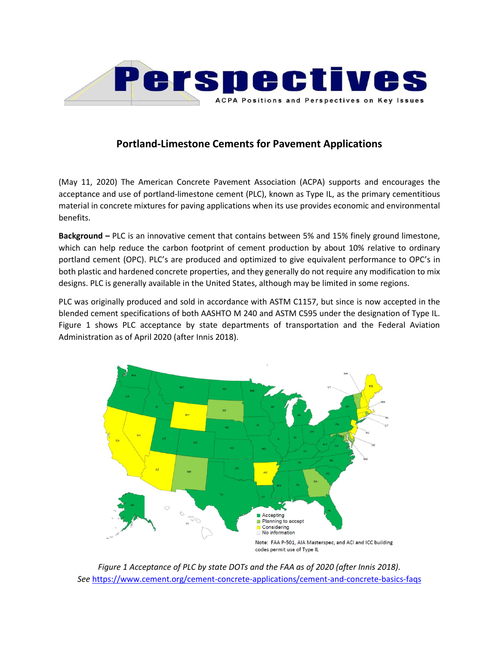

## **Portland-Limestone Cements for Pavement Applications**

(May 11, 2020) The American Concrete Pavement Association (ACPA) supports and encourages the acceptance and use of portland-limestone cement (PLC), known as Type IL, as the primary cementitious material in concrete mixtures for paving applications when its use provides economic and environmental benefits.

**Background –** PLC is an innovative cement that contains between 5% and 15% finely ground limestone, which can help reduce the carbon footprint of cement production by about 10% relative to ordinary portland cement (OPC). PLC's are produced and optimized to give equivalent performance to OPC's in both plastic and hardened concrete properties, and they generally do not require any modification to mix designs. PLC is generally available in the United States, although may be limited in some regions.

PLC was originally produced and sold in accordance with ASTM C1157, but since is now accepted in the blended cement specifications of both AASHTO M 240 and ASTM C595 under the designation of Type IL. Figure 1 shows PLC acceptance by state departments of transportation and the Federal Aviation Administration as of April 2020 (after Innis 2018).



*Figure 1 Acceptance of PLC by state DOTs and the FAA as of 2020 (after Innis 2018). See* <https://www.cement.org/cement-concrete-applications/cement-and-concrete-basics-faqs>